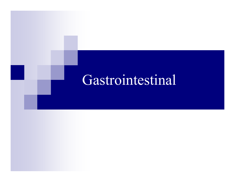# Gastrointestinal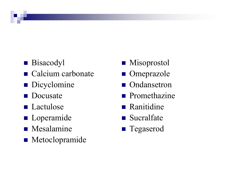- **Bisacodyl**
- Calcium carbonate
- Dicyclomine
- **Docusate**
- **Lactulose**
- **Loperamide**
- Mesalamine
- Metoclopramide
- Misoprostol
- Omeprazole
- Ondansetron
- $\blacksquare$  Promethazine
- $\blacksquare$  Ranitidine
- Sucralfate
- Tegaserod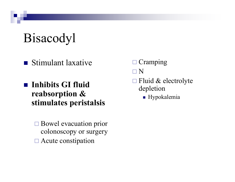# Bisacodyl

Stimulant laxative

- Inhibits GI fluid reabsorption & stimulates peristalsis
	- □ Bowel evacuation prior colonoscopy or surgery□ Acute constipation
- □ Cramping
- <sup>N</sup>
- $\Box$  Fluid & electrolyte depletion
	- **Hypokalemia**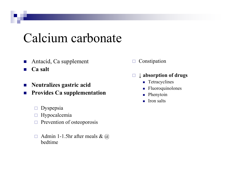#### Calcium carbonate

- $\mathcal{L}_{\mathcal{A}}$ Antacid, Ca supplement
- $\mathbb{R}^n$ Ca salt
- $\mathcal{C}^{\mathcal{A}}$ Neutralizes gastric acid
- $\mathcal{L}_{\mathcal{A}}$  Provides Ca supplementation
	- $\Box$ Dyspepsia
	- $\Box$ Hypocalcemia
	- $\Box$ Prevention of osteoporosis
	- $\Box$  Admin 1-1.5hr after meals & @ bedtime
- $\Box$ Constipation
- $\Box$  <sup>↓</sup> absorption of drugs
	- **T**etracyclines
	- Fluoroquinolones
	- $\blacksquare$ Phenytoin
	- lition salts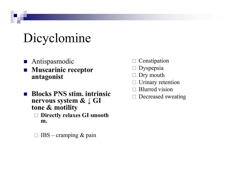# Dicyclomine

- **Antispasmodic**
- $\mathcal{L}^{\text{max}}_{\text{max}}$  Muscarinic receptor antagonist
- Blocks PNS stim. intrinsic nervous system & ↓ GI tone & motility
	- □ Directly relaxes GI smooth m.
	- $\Box$  $IBS -$ cramping & pain
- $\Box$ Constipation
- $\Box$ Dyspepsia
- $\Box$ Dry mouth
- $\Box$ Urinary retention
- $\Box$ Blurred vision
- $\Box$ Decreased sweating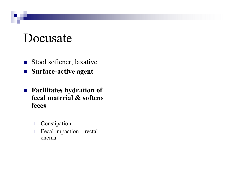#### Docusate

- Stool softener, laxative
- Surface-active agent
- Facilitates hydration of fecal material & softens feces
	- Constipation  $\Box$
	- $\Box$  Fecal impaction rectal enema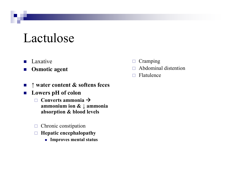#### Lactulose

- $\blacksquare$ Laxative
- $\mathcal{L}_{\mathcal{A}}$ Osmotic agent
- $\Box$ Cramping
- $\Box$ Abdominal distention
- $\Box$ Flatulence

- $\mathcal{L}_{\mathcal{A}}$ <sup>↑</sup> water content & softens feces
- Lowers pH of colon
	- $\Box$ Converts ammonia  $\rightarrow$ ammonium ion & ↓ ammonia<br>ebserntion & blood levels absorption & blood levels
	- $\Box$ Chronic constipation
	- $\Box$  Hepatic encephalopathy
		- Improves mental status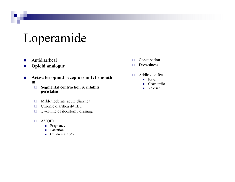## Loperamide

- $\blacksquare$ Antidiarrheal
- $\mathcal{L}_{\mathcal{A}}$ Opioid analogue
- $\mathcal{L}_{\mathcal{A}}$  Activates opioid receptors in GI smooth m.
	- $\Box$  Segmental contraction & inhibits peristalsis
	- $\Box$ Mild-moderate acute diarrhea
	- $\Box$ Chronic diarrhea d/t IBD
	- $\Box$ <sup>↓</sup> volume of ileostomy drainage
	- $\Box$  AVOID
		- **Pregnancy**
		- **Lactation**
		- Children < 2 y/o
- $\Box$ Constipation
- $\Box$ Drowsiness
- $\Box$  Additive effects
	- Kava
	- $\blacksquare$ Chamomile
	- $\blacksquare$ Valerian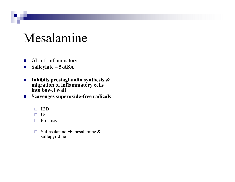#### Mesalamine

- $\mathcal{L}_{\mathcal{A}}$ GI anti-inflammatory
- $\mathcal{L}_{\mathcal{A}}$ Salicylate – 5-ASA
- $\mathcal{L}_{\mathcal{A}}$ Inhibits prostaglandin synthesis  $\&$ <br>miguetion of inflammatory cells migration of inflammatory cells into bowel wall
- $\mathcal{L}_{\mathcal{A}}$  Scavenges superoxide-free radicals
	- $\Box$ IBD
	- $\Box$  UC
	- $\Box$  Proctitis
	- $\Box$ □ Sulfasalazine → mesalamine & sulfaboridine sulfapyridine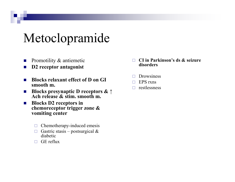## Metoclopramide

- Promotility & antiemetic  $\overline{\phantom{a}}$
- D2 receptor antagonist  $\mathcal{O}^{\mathcal{A}}$
- **Blocks relaxant effect of D on GI**  $\mathcal{L}_{\mathcal{A}}$ smooth m.
- Blocks presynaptic D receptors  $\& \uparrow$  $\mathcal{L}_{\mathcal{A}}$ Ach release & stim. smooth m.
- **Blocks D2 receptors in** chemoreceptor trigger zone & vomiting center
	- $\Box$  Chemotherapy-induced emesis
	- $\Box$  Gastric stasis postsurgical & diabetic
	- GE reflux  $\Box$
- CI in Parkinson's ds & seizure  $\Box$ disorders
- **Drowsiness**  $\Box$
- EPS rxns  $\Box$
- restlessness П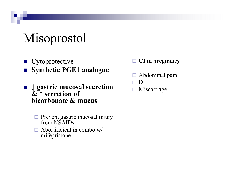# Misoprostol

- Cytoprotective ■ Synthetic PGE1 analogue
- $\downarrow$  gastric mucosal secretion  $\&$   $\uparrow$  secretion of bicarbonate & mucus
	- **Exercise 12 September 12 September 12 September 12 September 12 September 12 September 2013** from NSAIDs
	- $\Box$  Abortificient in combo w/<br>mifensitone mifepristone
- $\Box$ CI in pregnancy
- $\Box$ Abdominal pain
- $\Box$ <sup>D</sup>
- $\Box$  Miscarriage  $\Box$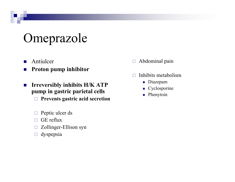# Omeprazole

- $\mathbf{r}$ Antiulcer
- $\mathcal{L}_{\mathcal{A}}$ Proton pump inhibitor
- $\mathcal{L}_{\mathcal{A}}$  Irreversibly inhibits H/K ATP pump in gastric parietal cells
	- $\Box$ Prevents gastric acid secretion
	- $\Box$ Peptic ulcer ds
	- $\Box$ GE reflux
	- $\Box$ Zollinger-Ellison syn
	- $\Box$ dyspepsia
- $\Box$ Abdominal pain
- $\Box$  Inhibits metabolism
	- Diazepam
	- Cyclosporine
	- $\blacksquare$  Phenytoin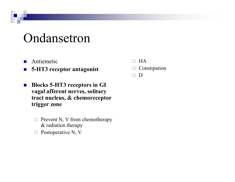## Ondansetron

- $\mathcal{L}^{\mathcal{A}}$ Antiemetic
- $\mathcal{L}_{\mathcal{A}}$ 5-HT3 receptor antagonist
- $\mathcal{L}_{\mathcal{A}}$  Blocks 5-HT3 receptors in GI vaga<sup>l</sup> afferent nerves, solitary tract nucleus, & chemoreceptor trigger zone
	- $\Box$  Prevent N, V from chemotherapy & radiation therapy
	- $\Box$  Postoperative N, V  $\Box$
- $\Box$ **HA**
- □ Constipation  $\Box$
- $\Box$ <sup>D</sup>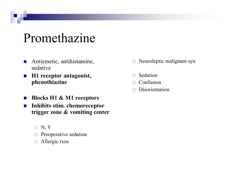### Promethazine

- **Antiemetic, antihistamine,** sedative
- $\mathcal{L}_{\mathcal{A}}$  H1 receptor antagonist, phenothiazine
- $\mathcal{L}_{\mathcal{A}}$ Blocks H1 & M1 receptors
- $\mathcal{L}_{\mathcal{A}}$  Inhibits stim. chemoreceptor trigger zone & vomiting center
	- $\Box$  N, V
	- □ Preoperative sedation
	- $\Box$ Allergic rxns
- $\Box$ Neuroleptic malignant syn
- $\Box$ Sedation
- $\Box$ Confusion
- $\Box$ Disorientation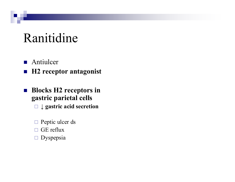## Ranitidine

- **Antiulcer**
- H2 receptor antagonist
- **Blocks H2 receptors in** gastric parietal cells
	- □ ↓ gastric acid secretion
	- □ Peptic ulcer ds
	- $\Box$ GE reflux
	- $\Box$ Dyspepsia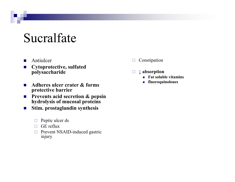#### Sucralfate

- $\mathcal{L}_{\mathcal{A}}$ Antiulcer
- $\mathcal{O}(\mathcal{C})$  Cytoprotective, sulfated polysaccharide
- $\overline{\phantom{a}}$  Adheres ulcer crater & forms protective barrier
- $\blacksquare$  Prevents acid secretion & pepsin<br>bydrolygis of muses al motoins  $\mathcal{L}_{\mathcal{A}}$ hydrolysis of mucosal proteins
- **Stim.** prostaglandin synthesis  $\mathcal{L}_{\mathcal{A}}$ 
	- $\Box$ Peptic ulcer ds
	- $\Box$  GE reflux
	- □ Prevent NSAID-induced gastric injury
- $\Box$ Constipation
- $\Box$  <sup>↓</sup> absorption
	- Fat soluble vitamins
	- fluoroquinolones